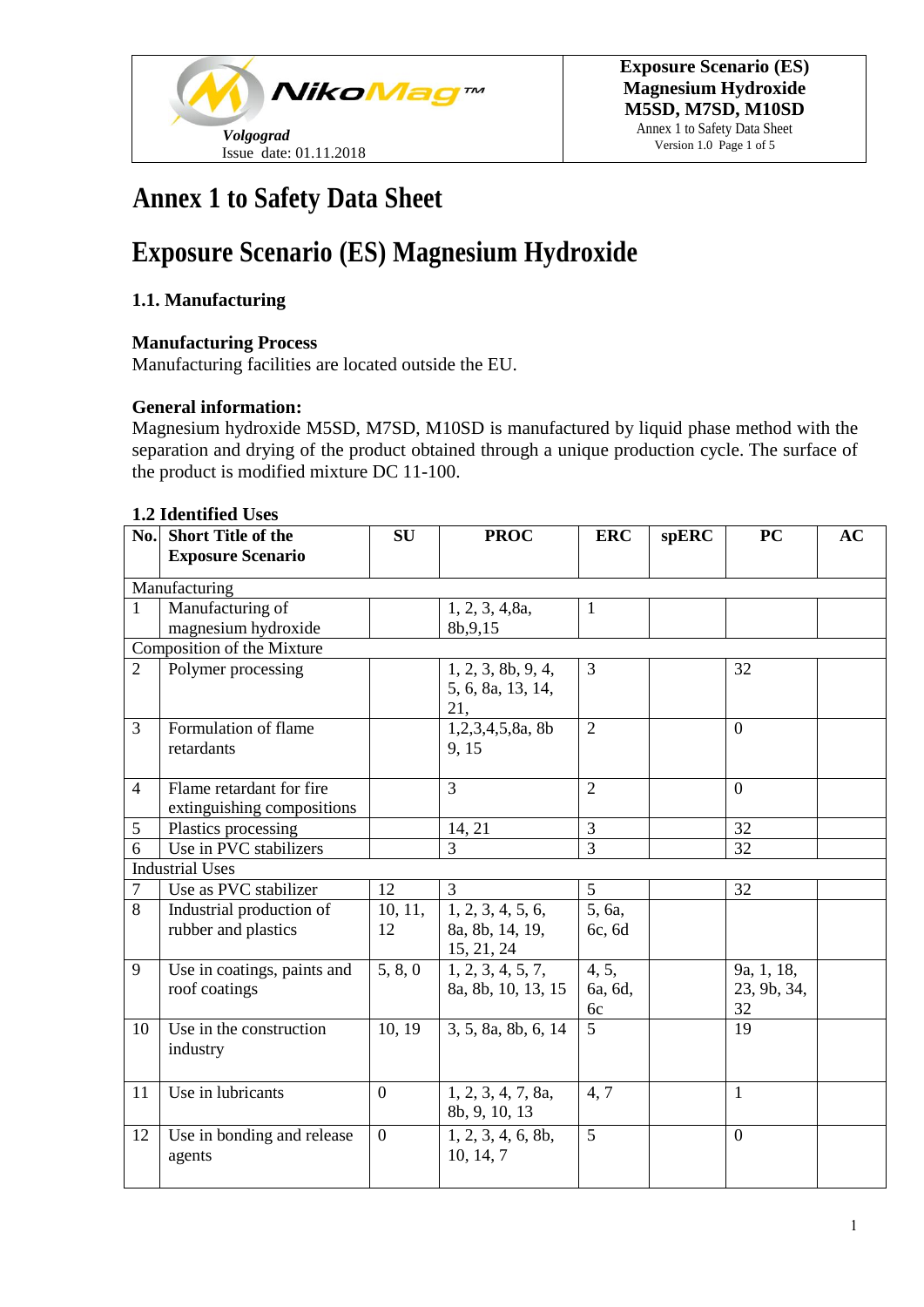

Annex 1 to Safety Data Sheet Version 1.0 Page 1 of 5

## **Annex 1 to Safety Data Sheet**

# **Exposure Scenario (ES) Magnesium Hydroxide**

### **1.1. Manufacturing**

#### **Manufacturing Process**

Manufacturing facilities are located outside the EU.

#### **General information:**

Magnesium hydroxide M5SD, M7SD, M10SD is manufactured by liquid phase method with the separation and drying of the product obtained through a unique production cycle. The surface of the product is modified mixture DC 11-100.

#### **1.2 Identified Uses**

| $\mathbf{N}\mathbf{0}$ . | <b>Short Title of the</b>   | <b>SU</b>      | <b>PROC</b>         | <b>ERC</b>           | spERC | <b>PC</b>      | AC |
|--------------------------|-----------------------------|----------------|---------------------|----------------------|-------|----------------|----|
|                          | <b>Exposure Scenario</b>    |                |                     |                      |       |                |    |
|                          | Manufacturing               |                |                     |                      |       |                |    |
| 1                        | Manufacturing of            |                | 1, 2, 3, 4, 8a,     | $\mathbf{1}$         |       |                |    |
|                          | magnesium hydroxide         |                | 8b, 9, 15           |                      |       |                |    |
|                          | Composition of the Mixture  |                |                     |                      |       |                |    |
| $\overline{2}$           | Polymer processing          |                | 1, 2, 3, 8b, 9, 4,  | $\overline{3}$       |       | 32             |    |
|                          |                             |                | 5, 6, 8a, 13, 14,   |                      |       |                |    |
|                          |                             |                | 21,                 |                      |       |                |    |
| 3                        | Formulation of flame        |                | 1,2,3,4,5,8a, 8b    | $\overline{2}$       |       | $\overline{0}$ |    |
|                          | retardants                  |                | 9, 15               |                      |       |                |    |
|                          |                             |                |                     |                      |       |                |    |
| $\overline{4}$           | Flame retardant for fire    |                | $\overline{3}$      | $\overline{2}$       |       | $\overline{0}$ |    |
|                          | extinguishing compositions  |                |                     |                      |       |                |    |
| 5                        | Plastics processing         |                | 14, 21              | $\overline{3}$       |       | 32             |    |
| 6                        | Use in PVC stabilizers      |                | 3                   | $\overline{3}$       |       | 32             |    |
|                          | <b>Industrial Uses</b>      |                |                     |                      |       |                |    |
| $\overline{7}$           | Use as PVC stabilizer       | 12             | 3                   | 5                    |       | 32             |    |
| 8                        | Industrial production of    | 10, 11,        | 1, 2, 3, 4, 5, 6,   | $\overline{5}$ , 6a, |       |                |    |
|                          | rubber and plastics         | 12             | 8a, 8b, 14, 19,     | 6c, 6d               |       |                |    |
|                          |                             |                | 15, 21, 24          |                      |       |                |    |
| 9                        | Use in coatings, paints and | 5, 8, 0        | 1, 2, 3, 4, 5, 7,   | 4, 5,                |       | 9a, 1, 18,     |    |
|                          | roof coatings               |                | 8a, 8b, 10, 13, 15  | 6a, 6d,              |       | 23, 9b, 34,    |    |
|                          |                             |                |                     | 6c                   |       | 32             |    |
| 10                       | Use in the construction     | 10, 19         | 3, 5, 8a, 8b, 6, 14 | 5                    |       | 19             |    |
|                          | industry                    |                |                     |                      |       |                |    |
|                          |                             |                |                     |                      |       |                |    |
| 11                       | Use in lubricants           | $\overline{0}$ | 1, 2, 3, 4, 7, 8a,  | 4,7                  |       | $\mathbf{1}$   |    |
|                          |                             |                | 8b, 9, 10, 13       |                      |       |                |    |
| 12                       | Use in bonding and release  | $\overline{0}$ | 1, 2, 3, 4, 6, 8b,  | $\overline{5}$       |       | $\overline{0}$ |    |
|                          | agents                      |                | 10, 14, 7           |                      |       |                |    |
|                          |                             |                |                     |                      |       |                |    |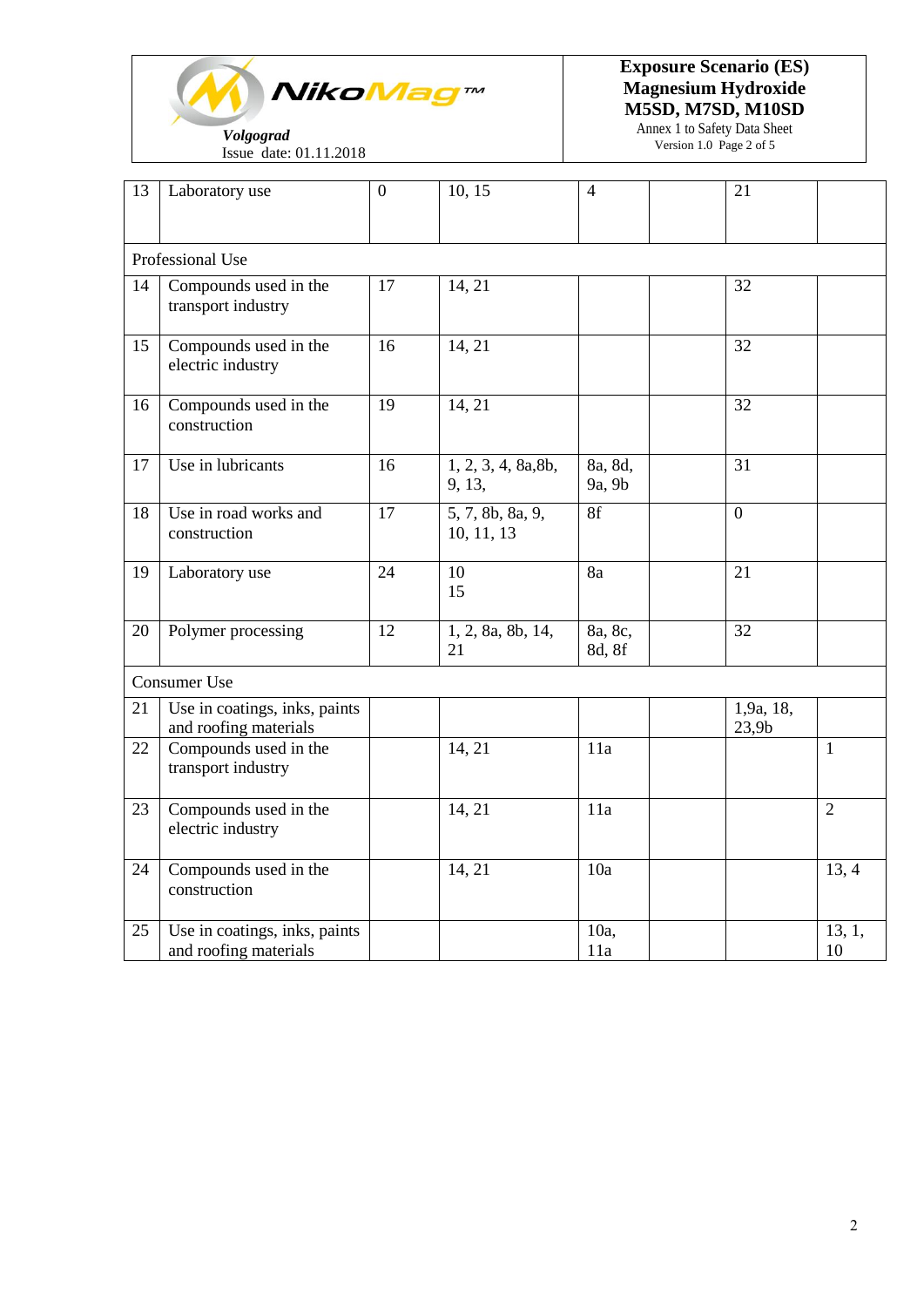

Issue date: 01.11.2018

**Exposure Scenario (ES) Magnesium Hydroxide M5SD, M7SD, M10SD**

> Annex 1 to Safety Data Sheet Version 1.0 Page 2 of 5

| 13 | Laboratory use                                         | $\overline{0}$ | 10, 15                         | $\overline{4}$    | 21                             |                |
|----|--------------------------------------------------------|----------------|--------------------------------|-------------------|--------------------------------|----------------|
|    | Professional Use                                       |                |                                |                   |                                |                |
| 14 | Compounds used in the<br>transport industry            | 17             | 14, 21                         |                   | 32                             |                |
| 15 | Compounds used in the<br>electric industry             | 16             | 14, 21                         |                   | 32                             |                |
| 16 | Compounds used in the<br>construction                  | 19             | 14, 21                         |                   | 32                             |                |
| 17 | Use in lubricants                                      | 16             | 1, 2, 3, 4, 8a, 8b,<br>9, 13,  | 8a, 8d,<br>9a, 9b | 31                             |                |
| 18 | Use in road works and<br>construction                  | 17             | 5, 7, 8b, 8a, 9,<br>10, 11, 13 | 8f                | $\overline{0}$                 |                |
| 19 | Laboratory use                                         | 24             | 10<br>15                       | 8a                | 21                             |                |
| 20 | Polymer processing                                     | 12             | 1, 2, 8a, 8b, 14,<br>21        | 8a, 8c,<br>8d, 8f | $\overline{32}$                |                |
|    | Consumer Use                                           |                |                                |                   |                                |                |
| 21 | Use in coatings, inks, paints<br>and roofing materials |                |                                |                   | 1,9a, 18,<br>23,9 <sub>b</sub> |                |
| 22 | Compounds used in the<br>transport industry            |                | 14, 21                         | 11a               |                                | $\mathbf{1}$   |
| 23 | Compounds used in the<br>electric industry             |                | 14, 21                         | 11a               |                                | $\overline{2}$ |
| 24 | Compounds used in the<br>construction                  |                | 14, 21                         | 10a               |                                | 13, 4          |
| 25 | Use in coatings, inks, paints<br>and roofing materials |                |                                | 10a,<br>11a       |                                | 13, 1,<br>10   |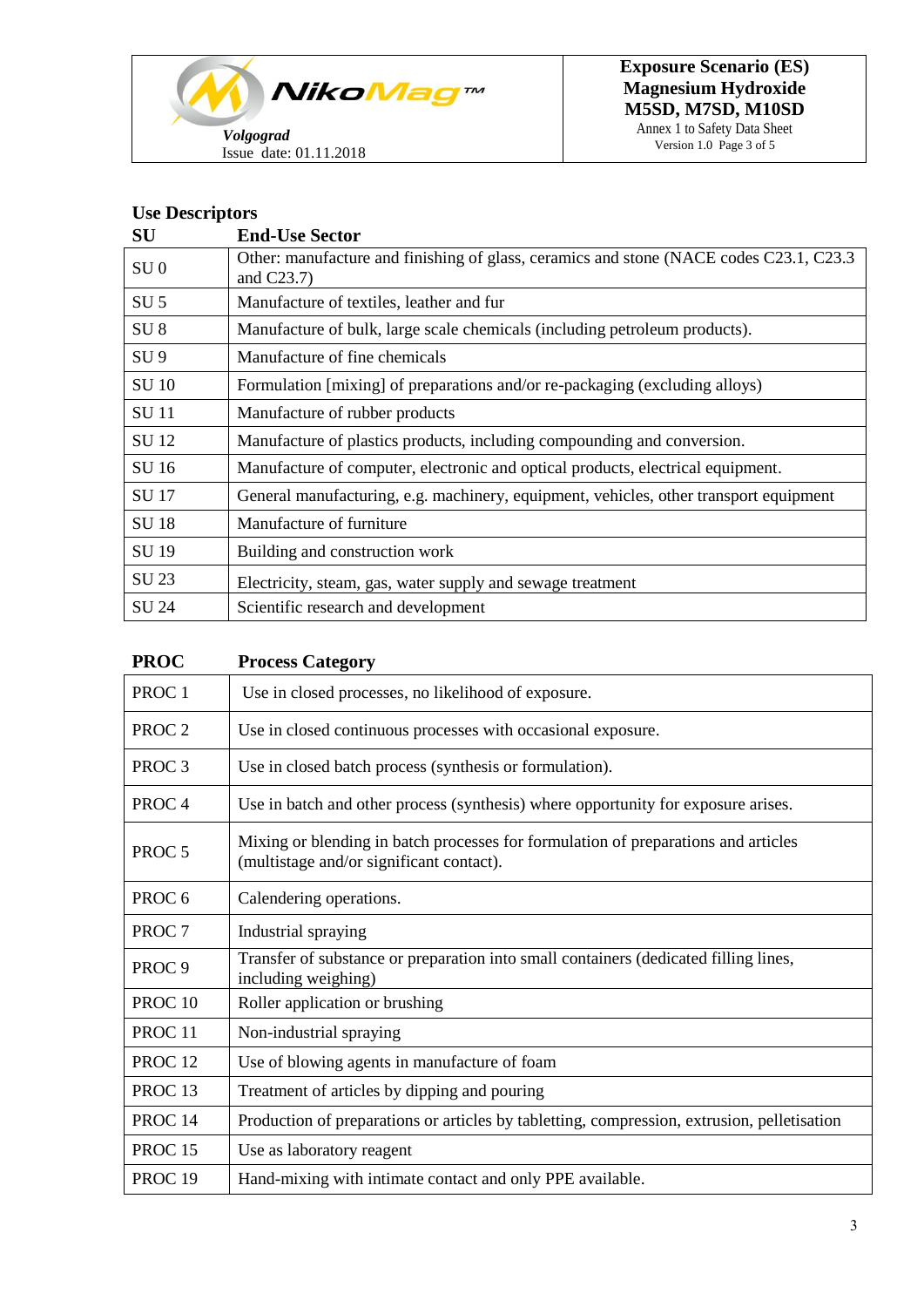

Annex 1 to Safety Data Sheet Version 1.0 Page 3 of 5

### **Use Descriptors**

| ${\bf SU}$      | <b>End-Use Sector</b>                                                                                    |
|-----------------|----------------------------------------------------------------------------------------------------------|
| SU <sub>0</sub> | Other: manufacture and finishing of glass, ceramics and stone (NACE codes C23.1, C23.3)<br>and $C23.7$ ) |
| SU <sub>5</sub> | Manufacture of textiles, leather and fur                                                                 |
| SU <sub>8</sub> | Manufacture of bulk, large scale chemicals (including petroleum products).                               |
| SU <sub>9</sub> | Manufacture of fine chemicals                                                                            |
| <b>SU 10</b>    | Formulation [mixing] of preparations and/or re-packaging (excluding alloys)                              |
| <b>SU11</b>     | Manufacture of rubber products                                                                           |
| SU 12           | Manufacture of plastics products, including compounding and conversion.                                  |
| SU 16           | Manufacture of computer, electronic and optical products, electrical equipment.                          |
| SU 17           | General manufacturing, e.g. machinery, equipment, vehicles, other transport equipment                    |
| <b>SU18</b>     | Manufacture of furniture                                                                                 |
| SU 19           | Building and construction work                                                                           |
| SU 23           | Electricity, steam, gas, water supply and sewage treatment                                               |
| SU 24           | Scientific research and development                                                                      |

| <b>PROC</b>        | <b>Process Category</b>                                                                                                        |
|--------------------|--------------------------------------------------------------------------------------------------------------------------------|
| PROC <sub>1</sub>  | Use in closed processes, no likelihood of exposure.                                                                            |
| PROC <sub>2</sub>  | Use in closed continuous processes with occasional exposure.                                                                   |
| PROC <sub>3</sub>  | Use in closed batch process (synthesis or formulation).                                                                        |
| PROC <sub>4</sub>  | Use in batch and other process (synthesis) where opportunity for exposure arises.                                              |
| PROC <sub>5</sub>  | Mixing or blending in batch processes for formulation of preparations and articles<br>(multistage and/or significant contact). |
| PROC <sub>6</sub>  | Calendering operations.                                                                                                        |
| PROC <sub>7</sub>  | Industrial spraying                                                                                                            |
| PROC <sub>9</sub>  | Transfer of substance or preparation into small containers (dedicated filling lines,<br>including weighing)                    |
| PROC <sub>10</sub> | Roller application or brushing                                                                                                 |
| PROC <sub>11</sub> | Non-industrial spraying                                                                                                        |
| PROC <sub>12</sub> | Use of blowing agents in manufacture of foam                                                                                   |
| PROC <sub>13</sub> | Treatment of articles by dipping and pouring                                                                                   |
| PROC <sub>14</sub> | Production of preparations or articles by tabletting, compression, extrusion, pelletisation                                    |
| PROC <sub>15</sub> | Use as laboratory reagent                                                                                                      |
| PROC <sub>19</sub> | Hand-mixing with intimate contact and only PPE available.                                                                      |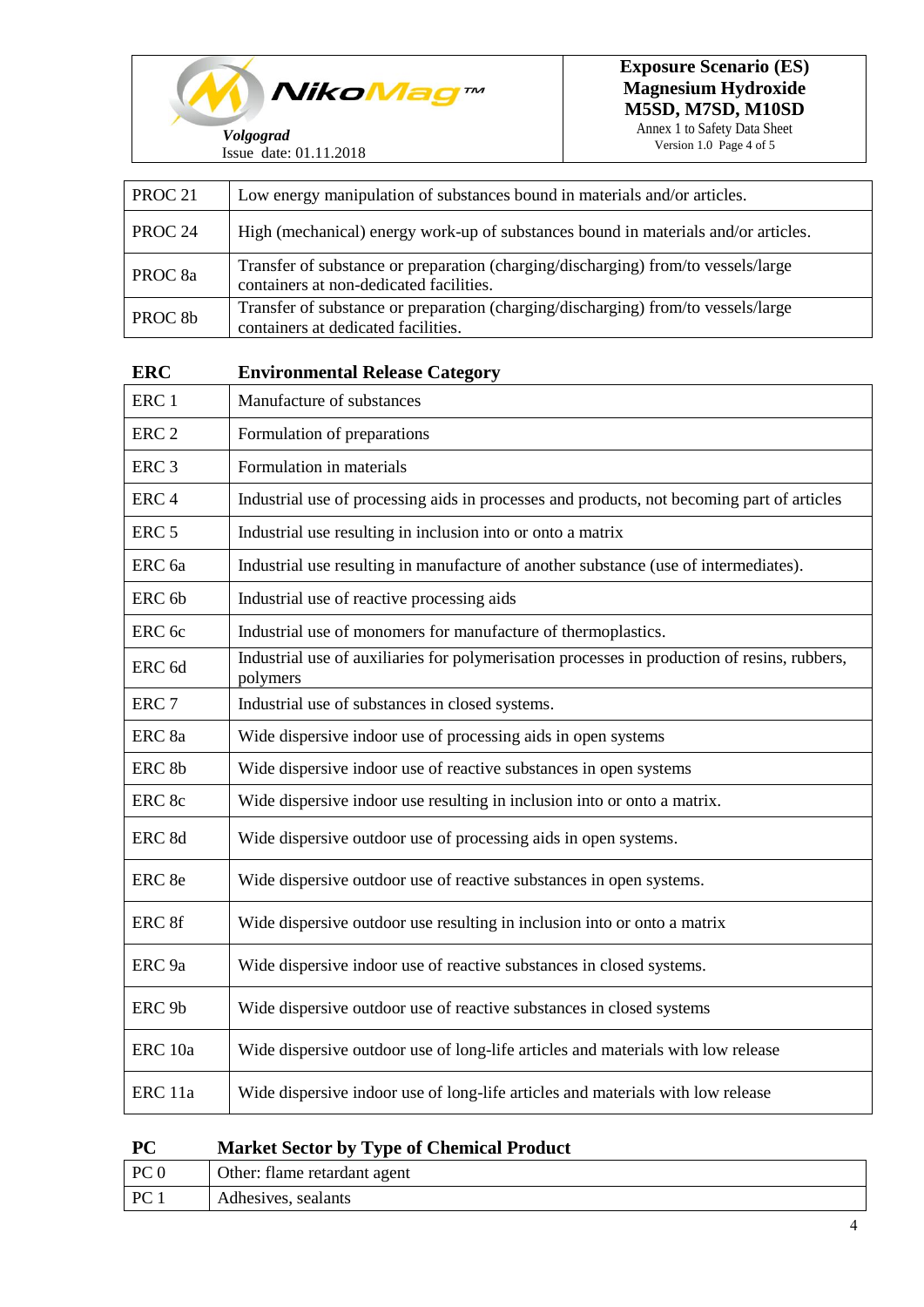

Version 1.0 Page 4 of 5

| PROC <sub>21</sub> | Low energy manipulation of substances bound in materials and/or articles.                                                    |
|--------------------|------------------------------------------------------------------------------------------------------------------------------|
| PROC <sub>24</sub> | High (mechanical) energy work-up of substances bound in materials and/or articles.                                           |
| PROC <sub>8a</sub> | Transfer of substance or preparation (charging/discharging) from/to vessels/large<br>containers at non-dedicated facilities. |
| PROC <sub>8b</sub> | Transfer of substance or preparation (charging/discharging) from/to vessels/large<br>containers at dedicated facilities.     |
| <b>ERC</b>         | <b>Environmental Release Category</b>                                                                                        |
| ERC <sub>1</sub>   | Manufacture of substances                                                                                                    |
| ERC <sub>2</sub>   | Formulation of preparations                                                                                                  |
| ERC <sub>3</sub>   | Formulation in materials                                                                                                     |
| ERC <sub>4</sub>   | Industrial use of processing aids in processes and products, not becoming part of articles                                   |
| ERC <sub>5</sub>   | Industrial use resulting in inclusion into or onto a matrix                                                                  |
| ERC <sub>6a</sub>  | Industrial use resulting in manufacture of another substance (use of intermediates).                                         |
| ERC <sub>6b</sub>  | Industrial use of reactive processing aids                                                                                   |
| ERC <sub>6c</sub>  | Industrial use of monomers for manufacture of thermoplastics.                                                                |
| ERC <sub>6d</sub>  | Industrial use of auxiliaries for polymerisation processes in production of resins, rubbers,<br>polymers                     |
| ERC <sub>7</sub>   | Industrial use of substances in closed systems.                                                                              |
| ERC 8a             | Wide dispersive indoor use of processing aids in open systems                                                                |
| ERC <sub>8b</sub>  | Wide dispersive indoor use of reactive substances in open systems                                                            |
| ERC 8c             | Wide dispersive indoor use resulting in inclusion into or onto a matrix.                                                     |
| ERC 8d             | Wide dispersive outdoor use of processing aids in open systems.                                                              |
| ERC 8e             | Wide dispersive outdoor use of reactive substances in open systems.                                                          |
| ERC 8f             | Wide dispersive outdoor use resulting in inclusion into or onto a matrix                                                     |
| ERC <sub>9a</sub>  | Wide dispersive indoor use of reactive substances in closed systems.                                                         |
| ERC <sub>9b</sub>  | Wide dispersive outdoor use of reactive substances in closed systems                                                         |
| ERC 10a            | Wide dispersive outdoor use of long-life articles and materials with low release                                             |
| ERC 11a            | Wide dispersive indoor use of long-life articles and materials with low release                                              |

| $_{\rm PC}$ | <b>Market Sector by Type of Chemical Product</b> |
|-------------|--------------------------------------------------|
|             |                                                  |

| PC <sub>0</sub> | Other: flame retardant agent |
|-----------------|------------------------------|
| $PC_1$          | Adhesives, sealants          |